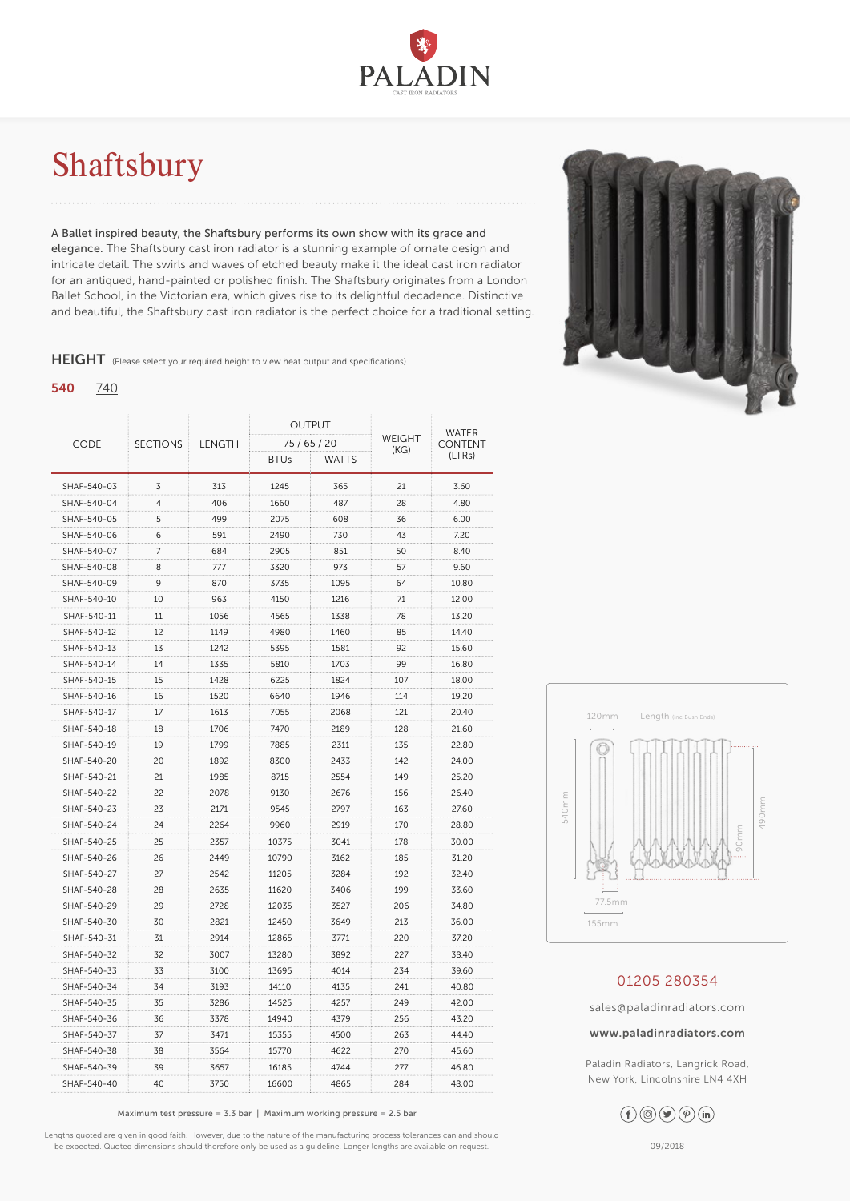

# <span id="page-0-0"></span>Shaftsbury

A Ballet inspired beauty, the Shaftsbury performs its own show with its grace and elegance. The Shaftsbury cast iron radiator is a stunning example of ornate design and intricate detail. The swirls and waves of etched beauty make it the ideal cast iron radiator for an antiqued, hand-painted or polished finish. The Shaftsbury originates from a London Ballet School, in the Victorian era, which gives rise to its delightful decadence. Distinctive and beautiful, the Shaftsbury cast iron radiator is the perfect choice for a traditional setting.

HEIGHT (Please select your required height to view heat output and specifications)

### 540 [740](#page-1-0)

| <b>CODE</b> | <b>SECTIONS</b> | LENGTH | <b>OUTPUT</b> |              | WEIGHT | WATER<br><b>CONTENT</b> |
|-------------|-----------------|--------|---------------|--------------|--------|-------------------------|
|             |                 |        | 75 / 65 / 20  |              |        |                         |
|             |                 |        | <b>BTUs</b>   | <b>WATTS</b> | (KG)   | (LTRs)                  |
| SHAF-540-03 | 3               | 313    | 1245          | 365          | 21     | 3.60                    |
| SHAF-540-04 | $\overline{4}$  | 406    | 1660          | 487          | 28     | 4.80                    |
| SHAF-540-05 | 5               | 499    | 2075          | 608          | 36     | 6.00                    |
| SHAF-540-06 | 6               | 591    | 2490          | 730          | 43     | 7.20                    |
| SHAF-540-07 | 7               | 684    | 2905          | 851          | 50     | 8.40                    |
| SHAF-540-08 | 8               | 777    | 3320          | 973          | 57     | 9.60                    |
| SHAF-540-09 | 9               | 870    | 3735          | 1095         | 64     | 10.80                   |
| SHAF-540-10 | 10              | 963    | 4150          | 1216         | 71     | 12.00                   |
| SHAF-540-11 | 11              | 1056   | 4565          | 1338         | 78     | 13.20                   |
| SHAF-540-12 | 12              | 1149   | 4980          | 1460         | 85     | 14.40                   |
| SHAF-540-13 | 13              | 1242   | 5395          | 1581         | 92     | 15.60                   |
| SHAF-540-14 | 14              | 1335   | 5810          | 1703         | 99     | 16.80                   |
| SHAF-540-15 | 15              | 1428   | 6225          | 1824         | 107    | 18.00                   |
| SHAF-540-16 | 16              | 1520   | 6640          | 1946         | 114    | 19.20                   |
| SHAF-540-17 | 17              | 1613   | 7055          | 2068         | 121    | 20.40                   |
| SHAF-540-18 | 18              | 1706   | 7470          | 2189         | 128    | 21.60                   |
| SHAF-540-19 | 19              | 1799   | 7885          | 2311         | 135    | 22.80                   |
| SHAF-540-20 | 20              | 1892   | 8300          | 2433         | 142    | 24.00                   |
| SHAF-540-21 | 21              | 1985   | 8715          | 2554         | 149    | 25.20                   |
| SHAF-540-22 | 22              | 2078   | 9130          | 2676         | 156    | 26.40                   |
| SHAF-540-23 | 23              | 2171   | 9545          | 2797         | 163    | 27.60                   |
| SHAF-540-24 | 24              | 2264   | 9960          | 2919         | 170    | 28.80                   |
| SHAF-540-25 | 25              | 2357   | 10375         | 3041         | 178    | 30.00                   |
| SHAF-540-26 | 26              | 2449   | 10790         | 3162         | 185    | 31.20                   |
| SHAF-540-27 | 27              | 2542   | 11205         | 3284         | 192    | 32.40                   |
| SHAF-540-28 | 28              | 2635   | 11620         | 3406         | 199    | 33.60                   |
| SHAF-540-29 | 29              | 2728   | 12035         | 3527         | 206    | 34.80                   |
| SHAF-540-30 | 30              | 2821   | 12450         | 3649         | 213    | 36.00                   |
| SHAF-540-31 | 31              | 2914   | 12865         | 3771         | 220    | 37.20                   |
| SHAF-540-32 | 32              | 3007   | 13280         | 3892         | 227    | 38.40                   |
| SHAF-540-33 | 33              | 3100   | 13695         | 4014         | 234    | 39.60                   |
| SHAF-540-34 | 34              | 3193   | 14110         | 4135         | 241    | 40.80                   |
| SHAF-540-35 | 35              | 3286   | 14525         | 4257         | 249    | 42.00                   |
| SHAF-540-36 | 36              | 3378   | 14940         | 4379         | 256    | 43.20                   |
| SHAF-540-37 | 37              | 3471   | 15355         | 4500         | 263    | 44.40                   |
| SHAF-540-38 | 38              | 3564   | 15770         | 4622         | 270    | 45.60                   |
| SHAF-540-39 | 39              | 3657   | 16185         | 4744         | 277    | 46.80                   |
| SHAF-540-40 | 40              | 3750   | 16600         | 4865         | 284    | 48.00                   |

Maximum test pressure = 3.3 bar | Maximum working pressure =  $2.5$  bar

Lengths quoted are given in good faith. However, due to the nature of the manufacturing process tolerances can and should be expected. Quoted dimensions should therefore only be used as a guideline. Longer lengths are available on request.





## 01205 280354

sales@paladinradiators.com

#### www.paladinradiators.com

Paladin Radiators, Langrick Road, New York, Lincolnshire LN4 4XH